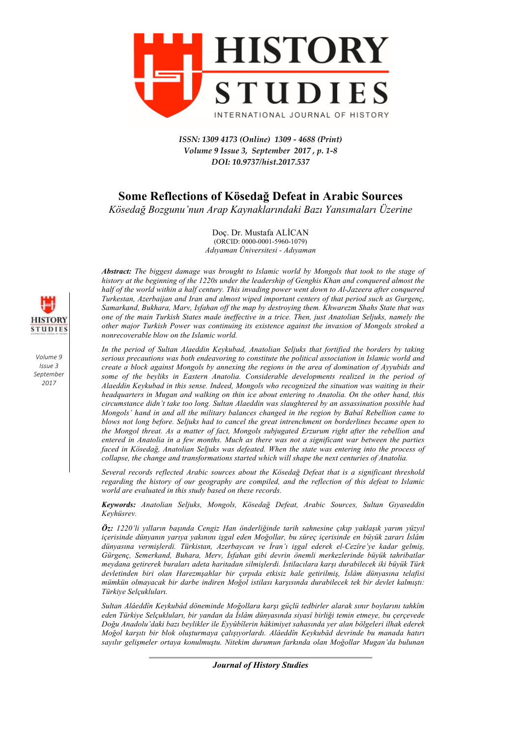

*ISSN: 1309 4173 (Online) 1309 - 4688 (Print) Volume 9 Issue 3, September 2017 , p. 1-8 DOI: 10.9737/hist.2017.537*

# **Some Reflections of Kösedağ Defeat in Arabic Sources**

*Kösedağ Bozgunu'nun Arap Kaynaklarındaki Bazı Yansımaları Üzerine*

Doç. Dr. Mustafa ALİCAN (ORCID: 0000-0001-5960-1079) *Adıyaman Üniversitesi - Adıyaman*

*Abstract: The biggest damage was brought to Islamic world by Mongols that took to the stage of history at the beginning of the 1220s under the leadership of Genghis Khan and conquered almost the half of the world within a half century. This invading power went down to Al-Jazeera after conquered Turkestan, Azerbaijan and Iran and almost wiped important centers of that period such as Gurgenç, Samarkand, Bukhara, Marv, Isfahan off the map by destroying them. Khwarezm Shahs State that was one of the main Turkish States made ineffective in a trice. Then, just Anatolian Seljuks, namely the other major Turkish Power was continuing its existence against the invasion of Mongols stroked a nonrecoverable blow on the Islamic world.*

*In the period of Sultan Alaeddin Keykubad, Anatolian Seljuks that fortified the borders by taking serious precautions was both endeavoring to constitute the political association in Islamic world and create a block against Mongols by annexing the regions in the area of domination of Ayyubids and some of the beyliks in Eastern Anatolia. Considerable developments realized in the period of Alaeddin Keykubad in this sense. Indeed, Mongols who recognized the situation was waiting in their headquarters in Mugan and walking on thin ice about entering to Anatolia. On the other hand, this circumstance didn't take too long. Sultan Alaeddin was slaughtered by an assassination possible had Mongols' hand in and all the military balances changed in the region by Babaî Rebellion came to blows not long before. Seljuks had to cancel the great intrenchment on borderlines became open to the Mongol threat. As a matter of fact, Mongols subjugated Erzurum right after the rebellion and entered in Anatolia in a few months. Much as there was not a significant war between the parties faced in Kösedağ, Anatolian Seljuks was defeated. When the state was entering into the process of collapse, the change and transformations started which will shape the next centuries of Anatolia.*

*Several records reflected Arabic sources about the Kösedağ Defeat that is a significant threshold regarding the history of our geography are compiled, and the reflection of this defeat to Islamic world are evaluated in this study based on these records.*

*Keywords: Anatolian Seljuks, Mongols, Kösedağ Defeat, Arabic Sources, Sultan Gıyaseddin Keyhüsrev.*

*Öz: 1220'li yılların başında Cengiz Han önderliğinde tarih sahnesine çıkıp yaklaşık yarım yüzyıl içerisinde dünyanın yarıya yakınını işgal eden Moğollar, bu süreç içerisinde en büyük zararı İslâm dünyasına vermişlerdi. Türkistan, Azerbaycan ve İran'ı işgal ederek el-Cezîre'ye kadar gelmiş, Gürgenç, Semerkand, Buhara, Merv, İsfahan gibi devrin önemli merkezlerinde büyük tahribatlar meydana getirerek buraları adeta haritadan silmişlerdi. İstilacılara karşı durabilecek iki büyük Türk devletinden biri olan Harezmşahlar bir çırpıda etkisiz hale getirilmiş, İslâm dünyasına telafisi mümkün olmayacak bir darbe indiren Moğol istilası karşısında durabilecek tek bir devlet kalmıştı: Türkiye Selçukluları.* 

*Sultan Alâeddîn Keykubâd döneminde Moğollara karşı güçlü tedbirler alarak sınır boylarını tahkîm eden Türkiye Selçukluları, bir yandan da İslâm dünyasında siyasî birliği temin etmeye, bu çerçevede Doğu Anadolu'daki bazı beylikler ile Eyyûbîlerin hâkimiyet sahasında yer alan bölgeleri ilhak ederek Moğol karşıtı bir blok oluşturmaya çalışıyorlardı. Alâeddîn Keykubâd devrinde bu manada hatırı sayılır gelişmeler ortaya konulmuştu. Nitekim durumun farkında olan Moğollar Mugan'da bulunan* 



*Volume 9 Issue 3 September 2017*

*Journal of History Studies*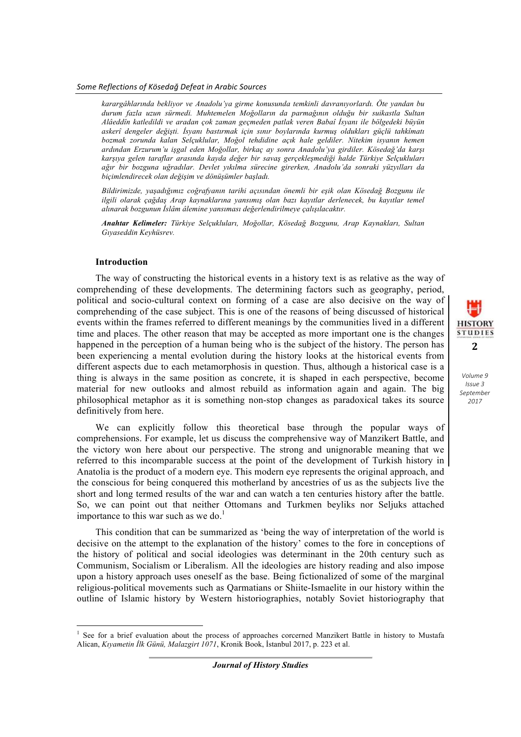*karargâhlarında bekliyor ve Anadolu'ya girme konusunda temkinli davranıyorlardı. Öte yandan bu durum fazla uzun sürmedi. Muhtemelen Moğolların da parmağının olduğu bir suikastla Sultan Alâeddîn katledildi ve aradan çok zaman geçmeden patlak veren Babaî İsyanı ile bölgedeki büyün askerî dengeler değişti. İsyanı bastırmak için sınır boylarında kurmuş oldukları güçlü tahkîmatı bozmak zorunda kalan Selçuklular, Moğol tehdidine açık hale geldiler. Nitekim isyanın hemen ardından Erzurum'u işgal eden Moğollar, birkaç ay sonra Anadolu'ya girdiler. Kösedağ'da karşı karşıya gelen taraflar arasında kayda değer bir savaş gerçekleşmediği halde Türkiye Selçukluları ağır bir bozguna uğradılar. Devlet yıkılma sürecine girerken, Anadolu'da sonraki yüzyılları da biçimlendirecek olan değişim ve dönüşümler başladı.*

*Bildirimizde, yaşadığımız coğrafyanın tarihi açısından önemli bir eşik olan Kösedağ Bozgunu ile ilgili olarak çağdaş Arap kaynaklarına yansımış olan bazı kayıtlar derlenecek, bu kayıtlar temel alınarak bozgunun İslâm âlemine yansıması değerlendirilmeye çalışılacaktır.*

*Anahtar Kelimeler: Türkiye Selçukluları, Moğollar, Kösedağ Bozgunu, Arap Kaynakları, Sultan Gıyaseddin Keyhüsrev.*

### **Introduction**

<u> 1989 - Johann Barn, mars eta bainar eta industrial eta baina eta baina eta baina eta baina eta baina eta bain</u>

The way of constructing the historical events in a history text is as relative as the way of comprehending of these developments. The determining factors such as geography, period, political and socio-cultural context on forming of a case are also decisive on the way of comprehending of the case subject. This is one of the reasons of being discussed of historical events within the frames referred to different meanings by the communities lived in a different time and places. The other reason that may be accepted as more important one is the changes happened in the perception of a human being who is the subject of the history. The person has been experiencing a mental evolution during the history looks at the historical events from different aspects due to each metamorphosis in question. Thus, although a historical case is a thing is always in the same position as concrete, it is shaped in each perspective, become material for new outlooks and almost rebuild as information again and again. The big philosophical metaphor as it is something non-stop changes as paradoxical takes its source definitively from here.

We can explicitly follow this theoretical base through the popular ways of comprehensions. For example, let us discuss the comprehensive way of Manzikert Battle, and the victory won here about our perspective. The strong and unignorable meaning that we referred to this incomparable success at the point of the development of Turkish history in Anatolia is the product of a modern eye. This modern eye represents the original approach, and the conscious for being conquered this motherland by ancestries of us as the subjects live the short and long termed results of the war and can watch a ten centuries history after the battle. So, we can point out that neither Ottomans and Turkmen beyliks nor Seljuks attached importance to this war such as we do. $<sup>1</sup>$ </sup>

This condition that can be summarized as 'being the way of interpretation of the world is decisive on the attempt to the explanation of the history' comes to the fore in conceptions of the history of political and social ideologies was determinant in the 20th century such as Communism, Socialism or Liberalism. All the ideologies are history reading and also impose upon a history approach uses oneself as the base. Being fictionalized of some of the marginal religious-political movements such as Qarmatians or Shiite-Ismaelite in our history within the outline of Islamic history by Western historiographies, notably Soviet historiography that

<sup>1</sup> See for a brief evaluation about the process of approaches corcerned Manzikert Battle in history to Mustafa Alican, *Kıyametin İlk Günü, Malazgirt 1071*, Kronik Book, İstanbul 2017, p. 223 et al.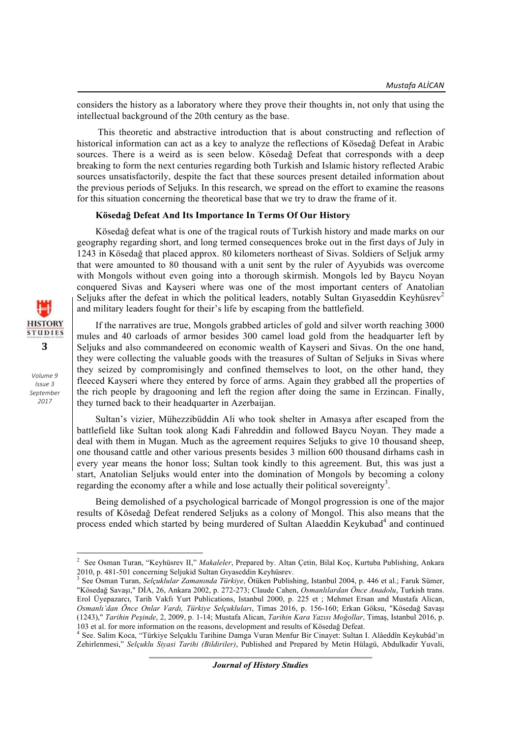considers the history as a laboratory where they prove their thoughts in, not only that using the intellectual background of the 20th century as the base.

This theoretic and abstractive introduction that is about constructing and reflection of historical information can act as a key to analyze the reflections of Kösedağ Defeat in Arabic sources. There is a weird as is seen below. Kösedağ Defeat that corresponds with a deep breaking to form the next centuries regarding both Turkish and Islamic history reflected Arabic sources unsatisfactorily, despite the fact that these sources present detailed information about the previous periods of Seljuks. In this research, we spread on the effort to examine the reasons for this situation concerning the theoretical base that we try to draw the frame of it.

## **Kösedağ Defeat And Its Importance In Terms Of Our History**

Kösedağ defeat what is one of the tragical routs of Turkish history and made marks on our geography regarding short, and long termed consequences broke out in the first days of July in 1243 in Kösedağ that placed approx. 80 kilometers northeast of Sivas. Soldiers of Seljuk army that were amounted to 80 thousand with a unit sent by the ruler of Ayyubids was overcome with Mongols without even going into a thorough skirmish. Mongols led by Baycu Noyan conquered Sivas and Kayseri where was one of the most important centers of Anatolian Seljuks after the defeat in which the political leaders, notably Sultan Giyaseddin Keyhüsrev<sup>2</sup> and military leaders fought for their's life by escaping from the battlefield.

If the narratives are true, Mongols grabbed articles of gold and silver worth reaching 3000 mules and 40 carloads of armor besides 300 camel load gold from the headquarter left by Seljuks and also commandeered on economic wealth of Kayseri and Sivas. On the one hand, they were collecting the valuable goods with the treasures of Sultan of Seljuks in Sivas where they seized by compromisingly and confined themselves to loot, on the other hand, they fleeced Kayseri where they entered by force of arms. Again they grabbed all the properties of the rich people by dragooning and left the region after doing the same in Erzincan. Finally, they turned back to their headquarter in Azerbaijan.

Sultan's vizier, Mühezzibüddin Ali who took shelter in Amasya after escaped from the battlefield like Sultan took along Kadi Fahreddin and followed Baycu Noyan. They made a deal with them in Mugan. Much as the agreement requires Seljuks to give 10 thousand sheep, one thousand cattle and other various presents besides 3 million 600 thousand dirhams cash in every year means the honor loss; Sultan took kindly to this agreement. But, this was just a start, Anatolian Seljuks would enter into the domination of Mongols by becoming a colony regarding the economy after a while and lose actually their political sovereignty<sup>3</sup>.

Being demolished of a psychological barricade of Mongol progression is one of the major results of Kösedağ Defeat rendered Seljuks as a colony of Mongol. This also means that the process ended which started by being murdered of Sultan Alaeddin Keykubad<sup>4</sup> and continued



 2 See Osman Turan, "Keyhüsrev II," *Makaleler*, Prepared by. Altan Çetin, Bilal Koç, Kurtuba Publishing, Ankara 2010, p. 481-501 concerning Seljukid Sultan Gıyaseddin Keyhüsrev. <sup>3</sup> See Osman Turan, *Selçuklular Zamanında Türkiye*, Ötüken Publishing, Istanbul 2004, p. 446 et al.; Faruk Sümer,

<sup>&</sup>quot;Kösedağ Savaşı," DİA, 26, Ankara 2002, p. 272-273; Claude Cahen, *Osmanlılardan Önce Anadolu*, Turkish trans. Erol Üyepazarcı, Tarih Vakfı Yurt Publications, Istanbul 2000, p. 225 et ; Mehmet Ersan and Mustafa Alican, *Osmanlı'dan Önce Onlar Vardı, Türkiye Selçukluları*, Timas 2016, p. 156-160; Erkan Göksu, "Kösedağ Savaşı (1243)," *Tarihin Peşinde*, 2, 2009, p. 1-14; Mustafa Alican, *Tarihin Kara Yazısı Moğollar*, Timaş, Istanbul 2016, p.

<sup>103</sup> et al. for more information on the reasons, development and results of Köseda<sup>ğ</sup> Defeat. <sup>4</sup> See. Salim Koca, "Türkiye Selçuklu Tarihine Damga Vuran Menfur Bir Cinayet: Sultan I. Alâeddîn Keykubâd'ın Zehirlenmesi," *Selçuklu Siyasi Tarihi (Bildiriler)*, Published and Prepared by Metin Hülagü, Abdulkadir Yuvali,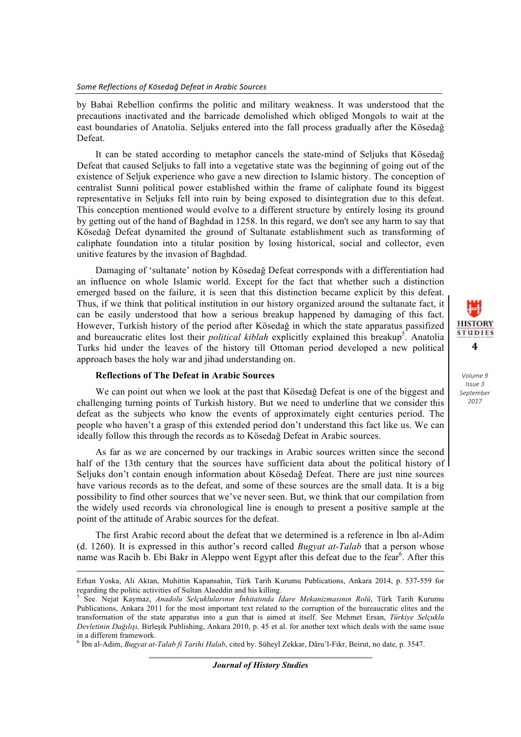by Babai Rebellion confirms the politic and military weakness. It was understood that the precautions inactivated and the barricade demolished which obliged Mongols to wait at the east boundaries of Anatolia. Seljuks entered into the fall process gradually after the Kösedağ Defeat.

It can be stated according to metaphor cancels the state-mind of Seljuks that Kösedağ Defeat that caused Seljuks to fall into a vegetative state was the beginning of going out of the existence of Seljuk experience who gave a new direction to Islamic history. The conception of centralist Sunni political power established within the frame of caliphate found its biggest representative in Seljuks fell into ruin by being exposed to disintegration due to this defeat. This conception mentioned would evolve to a different structure by entirely losing its ground by getting out of the hand of Baghdad in 1258. In this regard, we don't see any harm to say that Kösedağ Defeat dynamited the ground of Sultanate establishment such as transforming of caliphate foundation into a titular position by losing historical, social and collector, even unitive features by the invasion of Baghdad.

Damaging of 'sultanate' notion by Kösedağ Defeat corresponds with a differentiation had an influence on whole Islamic world. Except for the fact that whether such a distinction emerged based on the failure, it is seen that this distinction became explicit by this defeat. Thus, if we think that political institution in our history organized around the sultanate fact, it can be easily understood that how a serious breakup happened by damaging of this fact. However, Turkish history of the period after Kösedağ in which the state apparatus passifized and bureaucratic elites lost their *political kiblah* explicitly explained this breakup<sup>5</sup>. Anatolia Turks hid under the leaves of the history till Ottoman period developed a new political approach bases the holy war and jihad understanding on.

## **Reflections of The Defeat in Arabic Sources**

We can point out when we look at the past that Kösedağ Defeat is one of the biggest and challenging turning points of Turkish history. But we need to underline that we consider this defeat as the subjects who know the events of approximately eight centuries period. The people who haven't a grasp of this extended period don't understand this fact like us. We can ideally follow this through the records as to Kösedağ Defeat in Arabic sources.

As far as we are concerned by our trackings in Arabic sources written since the second half of the 13th century that the sources have sufficient data about the political history of Seljuks don't contain enough information about Kösedağ Defeat. There are just nine sources have various records as to the defeat, and some of these sources are the small data. It is a big possibility to find other sources that we've never seen. But, we think that our compilation from the widely used records via chronological line is enough to present a positive sample at the point of the attitude of Arabic sources for the defeat.

The first Arabic record about the defeat that we determined is a reference in İbn al-Adim (d. 1260). It is expressed in this author's record called *Bugyat at-Talab* that a person whose name was Racih b. Ebi Bakr in Aleppo went Egypt after this defeat due to the fear<sup>6</sup>. After this

<sup>6</sup> İbn al-Adim, *Bugyat at-Talab fi Tarihi Halab*, cited by. Süheyl Zekkar, Dâru'l-Fikr, Beirut, no date, p. 3547.

<sup>&</sup>lt;u> 1989 - Johann Barbara, martxa alemaniar argumentu (h. 1989).</u> Erhan Yoska, Ali Aktan, Muhittin Kapansahin, Türk Tarih Kurumu Publications, Ankara 2014, p. 537-559 for regarding the politic activities of Sultan Alaeddin and his killing. <sup>5</sup> See. Nejat Kaymaz, *Anadolu Selçuklularının İnhitatında İdare Mekanizmasının Rolü*, Türk Tarih Kurumu

Publications, Ankara 2011 for the most important text related to the corruption of the bureaucratic elites and the transformation of the state apparatus into a gun that is aimed at itself. See Mehmet Ersan, *Türkiye Selçuklu Devletinin Dağılışı,* Birleşik Publishing, Ankara 2010, p. 45 et al. for another text which deals with the same issue in a different framework.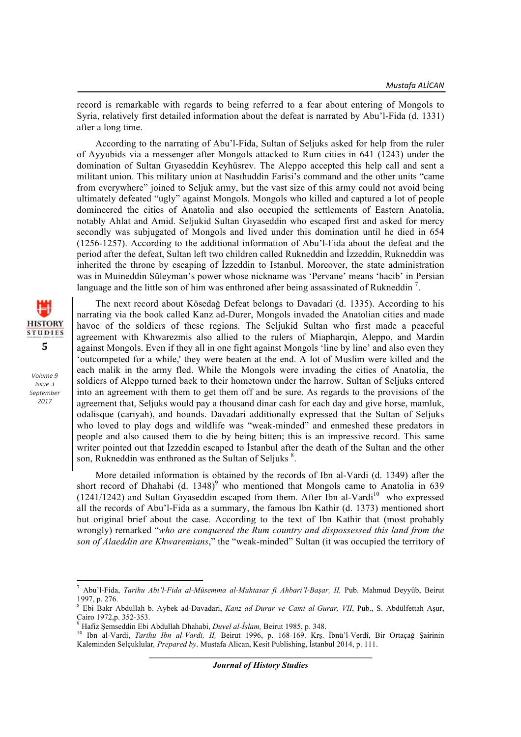record is remarkable with regards to being referred to a fear about entering of Mongols to Syria, relatively first detailed information about the defeat is narrated by Abu'l-Fida (d. 1331) after a long time.

According to the narrating of Abu'l-Fida, Sultan of Seljuks asked for help from the ruler of Ayyubids via a messenger after Mongols attacked to Rum cities in 641 (1243) under the domination of Sultan Gıyaseddin Keyhüsrev. The Aleppo accepted this help call and sent a militant union. This military union at Nasıhuddin Farisi's command and the other units "came from everywhere" joined to Seljuk army, but the vast size of this army could not avoid being ultimately defeated "ugly" against Mongols. Mongols who killed and captured a lot of people domineered the cities of Anatolia and also occupied the settlements of Eastern Anatolia, notably Ahlat and Amid. Seljukid Sultan Gıyaseddin who escaped first and asked for mercy secondly was subjugated of Mongols and lived under this domination until he died in 654 (1256-1257). According to the additional information of Abu'l-Fida about the defeat and the period after the defeat, Sultan left two children called Rukneddin and İzzeddin, Rukneddin was inherited the throne by escaping of İzzeddin to Istanbul. Moreover, the state administration was in Muineddin Süleyman's power whose nickname was 'Pervane' means 'hacib' in Persian language and the little son of him was enthroned after being assassinated of Rukneddin<sup>7</sup>.

**HISTORY STUDIES 5**

> *Volume 9 Issue 3 September 2017*

The next record about Kösedağ Defeat belongs to Davadari (d. 1335). According to his narrating via the book called Kanz ad-Durer, Mongols invaded the Anatolian cities and made havoc of the soldiers of these regions. The Seljukid Sultan who first made a peaceful agreement with Khwarezmis also allied to the rulers of Miapharqin, Aleppo, and Mardin against Mongols. Even if they all in one fight against Mongols 'line by line' and also even they 'outcompeted for a while,' they were beaten at the end. A lot of Muslim were killed and the each malik in the army fled. While the Mongols were invading the cities of Anatolia, the soldiers of Aleppo turned back to their hometown under the harrow. Sultan of Seljuks entered into an agreement with them to get them off and be sure. As regards to the provisions of the agreement that, Seljuks would pay a thousand dinar cash for each day and give horse, mamluk, odalisque (cariyah), and hounds. Davadari additionally expressed that the Sultan of Seljuks who loved to play dogs and wildlife was "weak-minded" and enmeshed these predators in people and also caused them to die by being bitten; this is an impressive record. This same writer pointed out that İzzeddin escaped to İstanbul after the death of the Sultan and the other son, Rukneddin was enthroned as the Sultan of Seljuks<sup>8</sup>.

More detailed information is obtained by the records of Ibn al-Vardi (d. 1349) after the short record of Dhahabi (d. 1348)<sup>9</sup> who mentioned that Mongols came to Anatolia in 639  $(1241/1242)$  and Sultan Giyaseddin escaped from them. After Ibn al-Vardi<sup>10</sup> who expressed all the records of Abu'l-Fida as a summary, the famous Ibn Kathir (d. 1373) mentioned short but original brief about the case. According to the text of Ibn Kathir that (most probably wrongly) remarked "*who are conquered the Rum country and dispossessed this land from the son of Alaeddin are Khwaremians*," the "weak-minded" Sultan (it was occupied the territory of

 <sup>7</sup> Abu'l-Fida, *Tarihu Abi'l-Fida al-Müsemma al-Muhtasar fi Ahbari'l-Başar, II,* Pub. Mahmud Deyyûb, Beirut 1997, p. 276.

<sup>8</sup> Ebi Bakr Abdullah b. Aybek ad-Davadari, *Kanz ad-Durar ve Cami al-Gurar, VII*, Pub., S. Abdülfettah Aşur, Cairo 1972,p. 352-353.<br><sup>9</sup> Hafiz Şemseddin Ebi Abdullah Dhahabi, *Duvel al-İslam*, Beirut 1985, p. 348.<br><sup>10</sup> Ibn al-Vardi, *Tarihu Ibn al-Vardi, II,* Beirut 1996, p. 168-169. Krş. İbnü'l-Verdî, Bir Ortaçağ Şairinin

Kaleminden Selçuklular*, Prepared by*. Mustafa Alican, Kesit Publishing, İstanbul 2014, p. 111.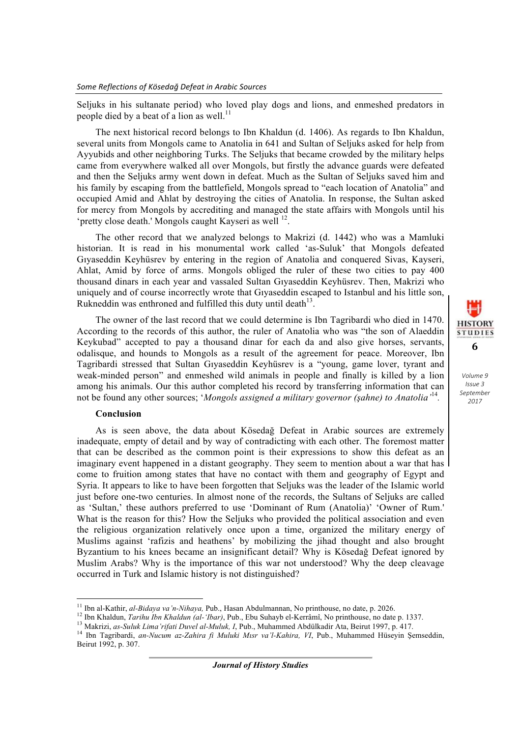Seljuks in his sultanate period) who loved play dogs and lions, and enmeshed predators in people died by a beat of a lion as well.<sup>11</sup>

The next historical record belongs to Ibn Khaldun (d. 1406). As regards to Ibn Khaldun, several units from Mongols came to Anatolia in 641 and Sultan of Seljuks asked for help from Ayyubids and other neighboring Turks. The Seljuks that became crowded by the military helps came from everywhere walked all over Mongols, but firstly the advance guards were defeated and then the Seljuks army went down in defeat. Much as the Sultan of Seljuks saved him and his family by escaping from the battlefield, Mongols spread to "each location of Anatolia" and occupied Amid and Ahlat by destroying the cities of Anatolia. In response, the Sultan asked for mercy from Mongols by accrediting and managed the state affairs with Mongols until his 'pretty close death.' Mongols caught Kayseri as well <sup>12</sup>.

The other record that we analyzed belongs to Makrizi (d. 1442) who was a Mamluki historian. It is read in his monumental work called 'as-Suluk' that Mongols defeated Gıyaseddin Keyhüsrev by entering in the region of Anatolia and conquered Sivas, Kayseri, Ahlat, Amid by force of arms. Mongols obliged the ruler of these two cities to pay 400 thousand dinars in each year and vassaled Sultan Gıyaseddin Keyhüsrev. Then, Makrizi who uniquely and of course incorrectly wrote that Gıyaseddin escaped to Istanbul and his little son, Rukneddin was enthroned and fulfilled this duty until death $^{13}$ .

The owner of the last record that we could determine is Ibn Tagribardi who died in 1470. According to the records of this author, the ruler of Anatolia who was "the son of Alaeddin Keykubad" accepted to pay a thousand dinar for each da and also give horses, servants, odalisque, and hounds to Mongols as a result of the agreement for peace. Moreover, Ibn Tagribardi stressed that Sultan Gıyaseddin Keyhüsrev is a "young, game lover, tyrant and weak-minded person" and enmeshed wild animals in people and finally is killed by a lion among his animals. Our this author completed his record by transferring information that can not be found any other sources; '*Mongols assigned a military governor (şahne) to Anatolia'* 14*.*

### **Conclusion**

As is seen above, the data about Kösedağ Defeat in Arabic sources are extremely inadequate, empty of detail and by way of contradicting with each other. The foremost matter that can be described as the common point is their expressions to show this defeat as an imaginary event happened in a distant geography. They seem to mention about a war that has come to fruition among states that have no contact with them and geography of Egypt and Syria. It appears to like to have been forgotten that Seljuks was the leader of the Islamic world just before one-two centuries. In almost none of the records, the Sultans of Seljuks are called as 'Sultan,' these authors preferred to use 'Dominant of Rum (Anatolia)' 'Owner of Rum.' What is the reason for this? How the Seljuks who provided the political association and even the religious organization relatively once upon a time, organized the military energy of Muslims against 'rafizis and heathens' by mobilizing the jihad thought and also brought Byzantium to his knees became an insignificant detail? Why is Kösedağ Defeat ignored by Muslim Arabs? Why is the importance of this war not understood? Why the deep cleavage occurred in Turk and Islamic history is not distinguished?

*Journal of History Studies*



 $^{11}$  Ibn al-Kathir, al-Bidaya va'n-Nihaya, Pub., Hasan Abdulmannan, No printhouse, no date, p. 2026.

<sup>&</sup>lt;sup>12</sup> Ibn Khaldun, *Tarihu Ibn Khaldun (al-'Ibar)*, Pub., Ebu Suhayb el-Kerrâmî, No printhouse, no date p. 1337.<br><sup>13</sup> Makrizi, *as-Suluk Lima'rifati Duvel al-Muluk*, *I*, Pub., Muhammed Abdülkadir Ata, Beirut 1997, p. 417. Beirut 1992, p. 307.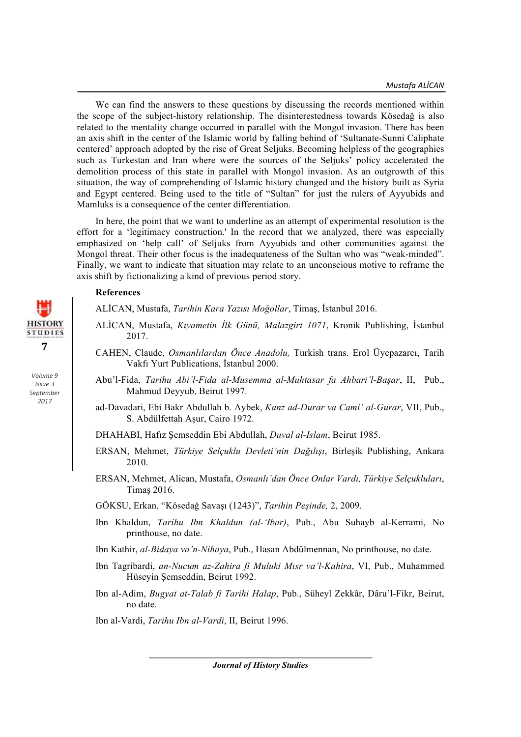We can find the answers to these questions by discussing the records mentioned within the scope of the subject-history relationship. The disinterestedness towards Kösedağ is also related to the mentality change occurred in parallel with the Mongol invasion. There has been an axis shift in the center of the Islamic world by falling behind of 'Sultanate-Sunni Caliphate centered' approach adopted by the rise of Great Seljuks. Becoming helpless of the geographies such as Turkestan and Iran where were the sources of the Seljuks' policy accelerated the demolition process of this state in parallel with Mongol invasion. As an outgrowth of this situation, the way of comprehending of Islamic history changed and the history built as Syria and Egypt centered. Being used to the title of "Sultan" for just the rulers of Ayyubids and Mamluks is a consequence of the center differentiation.

In here, the point that we want to underline as an attempt of experimental resolution is the effort for a 'legitimacy construction.' In the record that we analyzed, there was especially emphasized on 'help call' of Seljuks from Ayyubids and other communities against the Mongol threat. Their other focus is the inadequateness of the Sultan who was "weak-minded". Finally, we want to indicate that situation may relate to an unconscious motive to reframe the axis shift by fictionalizing a kind of previous period story.

# **References**

ALİCAN, Mustafa, *Tarihin Kara Yazısı Moğollar*, Timaş, İstanbul 2016.

- ALİCAN, Mustafa, *Kıyametin İlk Günü, Malazgirt 1071*, Kronik Publishing, İstanbul 2017.
- CAHEN, Claude, *Osmanlılardan Önce Anadolu,* Turkish trans. Erol Üyepazarcı, Tarih Vakfı Yurt Publications, İstanbul 2000.
- Abu'l-Fida, *Tarihu Abi'l-Fida al-Musemma al-Muhtasar fa Ahbari'l-Başar*, II, Pub., Mahmud Deyyub, Beirut 1997.
- ad-Davadari, Ebi Bakr Abdullah b. Aybek, *Kanz ad-Durar va Cami' al-Gurar*, VII, Pub., S. Abdülfettah Aşur, Cairo 1972.
- DHAHABI, Hafız Şemseddin Ebi Abdullah, *Duval al-Islam*, Beirut 1985.
- ERSAN, Mehmet, *Türkiye Selçuklu Devleti'nin Dağılışı*, Birleşik Publishing, Ankara 2010.
- ERSAN, Mehmet, Alican, Mustafa, *Osmanlı'dan Önce Onlar Vardı, Türkiye Selçukluları*, Timaş 2016.
- GÖKSU, Erkan, "Kösedağ Savaşı (1243)", *Tarihin Peşinde,* 2, 2009.
- Ibn Khaldun, *Tarihu Ibn Khaldun (al-'Ibar)*, Pub., Abu Suhayb al-Kerrami, No printhouse, no date.
- Ibn Kathir, *al-Bidaya va'n-Nihaya*, Pub., Hasan Abdülmennan, No printhouse, no date.
- Ibn Tagribardi, *an-Nucum az-Zahira fi Muluki Mısr va'l-Kahira*, VI, Pub., Muhammed Hüseyin Şemseddin, Beirut 1992.
- Ibn al-Adim, *Bugyat at-Talab fi Tarihi Halap*, Pub., Süheyl Zekkâr, Dâru'l-Fikr, Beirut, no date.

Ibn al-Vardi, *Tarihu Ibn al-Vardi*, II, Beirut 1996.



*Journal of History Studies*